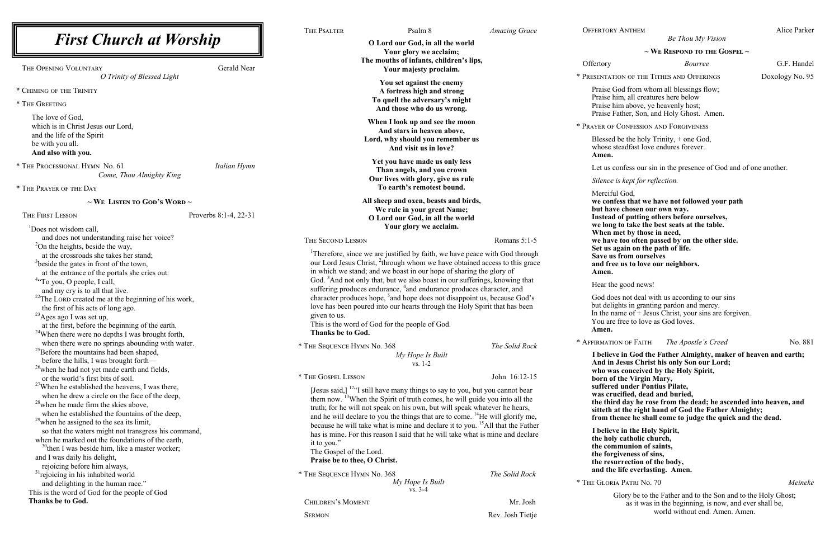iul God, **we confess that we have not followed your path but way** we chosen our own way. **Instead of putting others before ourselves, g** to take the best seats at the table. met by those in need, **we have too often passed by on the other side.**

again on the path of life.

**Iolehery** in God the Father Almighty, maker of heaven and earth; **Jesus Christ his only Son our Lord; as conceived by the Holy Spirit,** *b* f the Virgin Mary, **suffered under Pontius Pilate, was crucified, dead and buried, the third day he rose from the dead; he ascended into heaven, and**  at the right hand of God the Father Almighty; **from thence he shall come to judge the quick and the dead.**

**I** we in the Holy Spirit, **the holy catholic church, the communion of saints, the formula text ext ext ext ext ext ext ext ext ext ext ext ext ext ext ext ext ext the resurrection of the body, and in the everlasting. Amen.** 

*Be Thou My Vision*

## **~ We Respond to the Gospel ~**

**Bourree** G.F. Handel

TION OF THE TITHES AND OFFERINGS Doxology No. 95

God from whom all blessings flow; him, all creatures here below him above, ye heavenly host; Father, Son, and Holy Ghost. Amen.

CONFESSION AND FORGIVENESS

 $d$  be the holy Trinity,  $+$  one God, steadfast love endures forever.

confess our sin in the presence of God and of one another.

is kept for reflection.

| <b>First Church at Worship</b><br><b>Gerald Near</b><br>THE OPENING VOLUNTARY                                    |                       | THE PSALTER                                                                                                                                                                                                                                                                                                                                                                                                                                                 | Psalm 8                                                                                                                                                                                                                                                            | <b>Amazing Grace</b> | <b>OFFERTOR</b>      |
|------------------------------------------------------------------------------------------------------------------|-----------------------|-------------------------------------------------------------------------------------------------------------------------------------------------------------------------------------------------------------------------------------------------------------------------------------------------------------------------------------------------------------------------------------------------------------------------------------------------------------|--------------------------------------------------------------------------------------------------------------------------------------------------------------------------------------------------------------------------------------------------------------------|----------------------|----------------------|
|                                                                                                                  |                       | O Lord our God, in all the world                                                                                                                                                                                                                                                                                                                                                                                                                            |                                                                                                                                                                                                                                                                    |                      |                      |
|                                                                                                                  |                       | Your glory we acclaim;<br>The mouths of infants, children's lips,<br>Your majesty proclaim.                                                                                                                                                                                                                                                                                                                                                                 |                                                                                                                                                                                                                                                                    | Offertory            |                      |
| O Trinity of Blessed Light                                                                                       |                       | You set against the enemy                                                                                                                                                                                                                                                                                                                                                                                                                                   |                                                                                                                                                                                                                                                                    |                      | * PRESENTAT          |
| * CHIMING OF THE TRINITY                                                                                         |                       | A fortress high and strong                                                                                                                                                                                                                                                                                                                                                                                                                                  |                                                                                                                                                                                                                                                                    |                      | Praise<br>Praise l   |
| * THE GREETING                                                                                                   |                       |                                                                                                                                                                                                                                                                                                                                                                                                                                                             | To quell the adversary's might                                                                                                                                                                                                                                     |                      |                      |
|                                                                                                                  |                       |                                                                                                                                                                                                                                                                                                                                                                                                                                                             | And those who do us wrong.                                                                                                                                                                                                                                         |                      | Praise l<br>Praise l |
| The love of God,<br>which is in Christ Jesus our Lord,                                                           |                       |                                                                                                                                                                                                                                                                                                                                                                                                                                                             | When I look up and see the moon<br>And stars in heaven above,                                                                                                                                                                                                      |                      | * PRAYER OF          |
| and the life of the Spirit<br>be with you all.                                                                   |                       |                                                                                                                                                                                                                                                                                                                                                                                                                                                             | Lord, why should you remember us                                                                                                                                                                                                                                   |                      | Blessed              |
| And also with you.                                                                                               |                       |                                                                                                                                                                                                                                                                                                                                                                                                                                                             | And visit us in love?                                                                                                                                                                                                                                              |                      | whose<br>Amen.       |
| * THE PROCESSIONAL HYMN No. 61                                                                                   | Italian Hymn          |                                                                                                                                                                                                                                                                                                                                                                                                                                                             | Yet you have made us only less                                                                                                                                                                                                                                     |                      |                      |
| Come, Thou Almighty King                                                                                         |                       | Than angels, and you crown<br>Our lives with glory, give us rule                                                                                                                                                                                                                                                                                                                                                                                            |                                                                                                                                                                                                                                                                    |                      | Let us               |
| * THE PRAYER OF THE DAY                                                                                          |                       | To earth's remotest bound.                                                                                                                                                                                                                                                                                                                                                                                                                                  |                                                                                                                                                                                                                                                                    |                      | Silence              |
|                                                                                                                  |                       |                                                                                                                                                                                                                                                                                                                                                                                                                                                             | Mercifi                                                                                                                                                                                                                                                            |                      |                      |
| $\sim$ We Listen to God's Word $\sim$                                                                            |                       |                                                                                                                                                                                                                                                                                                                                                                                                                                                             | All sheep and oxen, beasts and birds,<br>We rule in your great Name;                                                                                                                                                                                               |                      | we con<br>but ha     |
| THE FIRST LESSON                                                                                                 | Proverbs 8:1-4, 22-31 | O Lord our God, in all the world                                                                                                                                                                                                                                                                                                                                                                                                                            |                                                                                                                                                                                                                                                                    |                      | <b>Instead</b>       |
| <sup>1</sup> Does not wisdom call,                                                                               |                       | Your glory we acclaim.                                                                                                                                                                                                                                                                                                                                                                                                                                      |                                                                                                                                                                                                                                                                    | we long              |                      |
| and does not understanding raise her voice?                                                                      |                       | THE SECOND LESSON                                                                                                                                                                                                                                                                                                                                                                                                                                           |                                                                                                                                                                                                                                                                    | Romans 5:1-5         | When<br>we hav       |
| $^{2}$ On the heights, beside the way,                                                                           |                       |                                                                                                                                                                                                                                                                                                                                                                                                                                                             |                                                                                                                                                                                                                                                                    |                      | Set us               |
| at the crossroads she takes her stand;                                                                           |                       | <sup>1</sup> Therefore, since we are justified by faith, we have peace with God through                                                                                                                                                                                                                                                                                                                                                                     |                                                                                                                                                                                                                                                                    | Save u               |                      |
| <sup>3</sup> beside the gates in front of the town,                                                              |                       | our Lord Jesus Christ, <sup>2</sup> through whom we have obtained access to this grace<br>in which we stand; and we boast in our hope of sharing the glory of                                                                                                                                                                                                                                                                                               |                                                                                                                                                                                                                                                                    |                      | and fro<br>Amen.     |
| at the entrance of the portals she cries out:<br><sup>4</sup> "To you, O people, I call,                         |                       |                                                                                                                                                                                                                                                                                                                                                                                                                                                             | God. <sup>3</sup> And not only that, but we also boast in our sufferings, knowing that<br>suffering produces endurance, <sup>4</sup> and endurance produces character, and<br>character produces hope, <sup>5</sup> and hope does not disappoint us, because God's |                      |                      |
| and my cry is to all that live.                                                                                  |                       |                                                                                                                                                                                                                                                                                                                                                                                                                                                             |                                                                                                                                                                                                                                                                    |                      |                      |
| $^{22}$ The LORD created me at the beginning of his work,                                                        |                       |                                                                                                                                                                                                                                                                                                                                                                                                                                                             |                                                                                                                                                                                                                                                                    |                      |                      |
| the first of his acts of long ago.                                                                               |                       | love has been poured into our hearts through the Holy Spirit that has been<br>given to us.                                                                                                                                                                                                                                                                                                                                                                  |                                                                                                                                                                                                                                                                    |                      | but deli             |
| <sup>23</sup> Ages ago I was set up,                                                                             |                       |                                                                                                                                                                                                                                                                                                                                                                                                                                                             |                                                                                                                                                                                                                                                                    |                      | In the n<br>You are  |
| at the first, before the beginning of the earth.                                                                 |                       | Thanks be to God.                                                                                                                                                                                                                                                                                                                                                                                                                                           | This is the word of God for the people of God.                                                                                                                                                                                                                     |                      | Amen.                |
| <sup>24</sup> When there were no depths I was brought forth,<br>when there were no springs abounding with water. |                       |                                                                                                                                                                                                                                                                                                                                                                                                                                                             |                                                                                                                                                                                                                                                                    |                      | * AFFIRMATI          |
| <sup>25</sup> Before the mountains had been shaped,                                                              |                       | * THE SEQUENCE HYMN No. 368<br>The Solid Rock                                                                                                                                                                                                                                                                                                                                                                                                               |                                                                                                                                                                                                                                                                    | I belie              |                      |
| before the hills, I was brought forth-                                                                           |                       | My Hope Is Built<br>$vs. 1-2$                                                                                                                                                                                                                                                                                                                                                                                                                               |                                                                                                                                                                                                                                                                    |                      | And in               |
| <sup>26</sup> when he had not yet made earth and fields,                                                         |                       |                                                                                                                                                                                                                                                                                                                                                                                                                                                             |                                                                                                                                                                                                                                                                    |                      | who w                |
| or the world's first bits of soil.                                                                               |                       | * THE GOSPEL LESSON                                                                                                                                                                                                                                                                                                                                                                                                                                         |                                                                                                                                                                                                                                                                    | John 16:12-15        | born o               |
| <sup>27</sup> When he established the heavens, I was there,                                                      |                       | [Jesus said,] <sup>12a</sup> I still have many things to say to you, but you cannot bear<br>them now. <sup>13</sup> When the Spirit of truth comes, he will guide you into all the<br>truth; for he will not speak on his own, but will speak whatever he hears,<br>and he will declare to you the things that are to come. <sup>14</sup> He will glorify me,<br>because he will take what is mine and declare it to you. <sup>15</sup> All that the Father |                                                                                                                                                                                                                                                                    |                      | suffere<br>was cr    |
| when he drew a circle on the face of the deep,<br><sup>28</sup> when he made firm the skies above,               |                       |                                                                                                                                                                                                                                                                                                                                                                                                                                                             |                                                                                                                                                                                                                                                                    |                      | the thi              |
| when he established the fountains of the deep,                                                                   |                       |                                                                                                                                                                                                                                                                                                                                                                                                                                                             |                                                                                                                                                                                                                                                                    |                      | sitteth              |
| <sup>29</sup> when he assigned to the sea its limit,                                                             |                       |                                                                                                                                                                                                                                                                                                                                                                                                                                                             |                                                                                                                                                                                                                                                                    |                      | from th              |
| so that the waters might not transgress his command,                                                             |                       |                                                                                                                                                                                                                                                                                                                                                                                                                                                             | has is mine. For this reason I said that he will take what is mine and declare                                                                                                                                                                                     |                      | I belie              |
| when he marked out the foundations of the earth,                                                                 |                       | it to you."                                                                                                                                                                                                                                                                                                                                                                                                                                                 |                                                                                                                                                                                                                                                                    |                      | the hol              |
| $30$ then I was beside him, like a master worker;                                                                |                       | The Gospel of the Lord.                                                                                                                                                                                                                                                                                                                                                                                                                                     |                                                                                                                                                                                                                                                                    |                      | the cor<br>the for   |
| and I was daily his delight,<br>rejoicing before him always,                                                     |                       | Praise be to thee, O Christ.                                                                                                                                                                                                                                                                                                                                                                                                                                |                                                                                                                                                                                                                                                                    |                      | the res              |
| <sup>31</sup> rejoicing in his inhabited world                                                                   |                       | * THE SEQUENCE HYMN No. 368                                                                                                                                                                                                                                                                                                                                                                                                                                 |                                                                                                                                                                                                                                                                    | The Solid Rock       | and the              |
| and delighting in the human race."                                                                               |                       | My Hope Is Built                                                                                                                                                                                                                                                                                                                                                                                                                                            |                                                                                                                                                                                                                                                                    |                      | * THE GLOR           |
| This is the word of God for the people of God                                                                    |                       |                                                                                                                                                                                                                                                                                                                                                                                                                                                             | $vs. 3-4$                                                                                                                                                                                                                                                          |                      |                      |
| Thanks be to God.                                                                                                |                       | <b>CHILDREN'S MOMENT</b>                                                                                                                                                                                                                                                                                                                                                                                                                                    |                                                                                                                                                                                                                                                                    | Mr. Josh             |                      |
|                                                                                                                  |                       | <b>SERMON</b>                                                                                                                                                                                                                                                                                                                                                                                                                                               |                                                                                                                                                                                                                                                                    | Rev. Josh Tietje     |                      |

**Save us from ourselves**

ee us to love our neighbors.

he good news!

bes not deal with us according to our sins ights in granting pardon and mercy. name of  $+$  Jesus Christ, your sins are forgiven. e free to love as God loves.

 $\blacksquare$  The Apostle's Creed No. 881

\* The Gloria Patri No. 70 *Meineke*

Glory be to the Father and to the Son and to the Holy Ghost; as it was in the beginning, is now, and ever shall be, world without end. Amen. Amen.